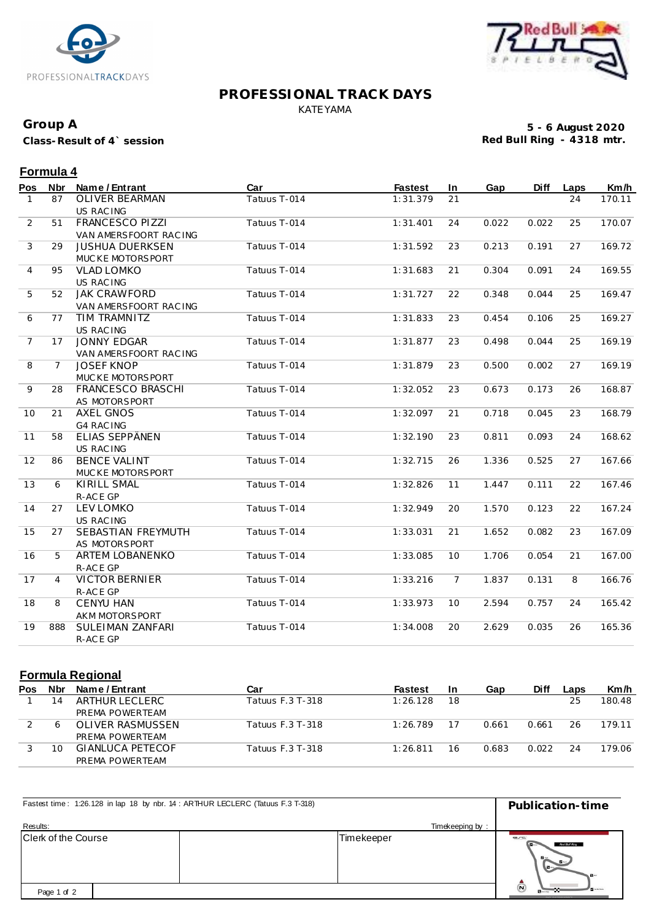



## **PROFESSIONAL TRACK DAYS** KATEYAMA

### **Group A**

**Class-Result of 4` session**

**5 - 6 August 2020 Red Bull Ring - 4318 mtr.**

26

#### **Pos Nbr Name / Entrant Car Fastest In Gap Diff Laps Km/h Formula 4** 1 87 OLIVER BEARMAN US RAC ING 24 2 51 FRANCESCO PIZZI Tatuus T-014 1:31.401 24 0.022 0.022 170.07 VAN AMERSFOORT RAC ING 25 3 29 JUSHUA DUERKSEN Tatuus T-014 1:31.592 23 0.213 0.191 169.72 MUC KE MOTORSPORT<br>VLAD LOMKO 27 4 95 VLAD LOMKO Tatuus T-014 1:31.683 21 0.304 0.091 169.55 US RAC ING 24 5 52 JAK CRAWFORD Tatuus T-014 1:31.727 22 0.348 0.044 25 169.47 VAN AMERSFOORT RAC ING 25 6 77 TIM TRAMNITZ Tatuus T-014 1:31.833 23 0.454 0.106 25 169.27 US RAC ING 25 7 17 JONNY EDGAR Tatuus T-014 1:31.877 23 0.498 0.044 169.19 VAN AMERSFOORT RAC ING 25 8 7 JOSEF KNOP Tatuus T-014 1:31.879 23 0.500 0.002 169.19 MUC KE MOTORSPORT 27 9 28 FRANCESCO BRASCHI Tatuus T-014 1:32.052 23 0.673 0.173 168.87 AS MOTORSPORT 26 10 21 AXEL GNOS Tatuus T-014 1:32.097 21 0.718 0.045 168.79 G4 RAC ING 23 11 58 ELIAS SEPPÄNEN Tatuus T-014 1:32.190 23 0.811 0.093 24 168.62 US RAC ING 24 12 86 BENCE VALINT Tatuus T-014 1:32.715 26 1.336 0.525 27 167.66 MUC KE MOTORSPORT 27 13 6 KIRILL SMAL Tatuus T-014 1:32.826 11 1.447 0.111 22 167.46 R-AC E GP 22 14 27 LEV LOMKO Tatuus T-014 1:32.949 20 1.570 0.123 167.24 US RAC ING 22 15 27 SEBASTIAN FREYMUTH Tatuus T-014 1:33.031 21 1.652 0.082 167.09 AS MOTORSPORT 23 16 5 ARTEM LOBANENKO Tatuus T-014 1:33.085 10 1.706 0.054 21 167.00 R-AC E GP 21 17 4 VICTOR BERNIER Tatuus T-014 1:33.216 7 1.837 0.131 8 166.76 R-AC E GP 8 18 8 CENYU HAN Tatuus T-014 1:33.973 10 2.594 0.757 165.42 AKM MOTORSPORT 24 19 888 SULEIMAN ZANFARI Tatuus T-014 1:34.008 20 2.629 0.035 165.36

#### **Formula Regional**

R-AC E GP

| Pos | <b>Nbr</b> | Name / Entrant    | Car              | <b>Fastest</b> | <b>In</b> | Gap   | <b>Diff</b> | Laps | Km/h   |
|-----|------------|-------------------|------------------|----------------|-----------|-------|-------------|------|--------|
|     | 14         | ARTHUR LECLERC    | Tatuus F.3 T-318 | 1:26.128       | 18        |       |             | 25   | 180.48 |
|     |            | PREMA POWERTEAM   |                  |                |           |       |             |      |        |
|     |            | OLIVER RASMUSSEN  | Tatuus F.3 T-318 | 1:26.789       |           | 0.661 | 0.661       | 26   | 179.11 |
|     |            | PREMA POWERTEAM   |                  |                |           |       |             |      |        |
|     |            | GIANI UCA PETECOE | Tatuus F.3 T-318 | 1:26.811       | 16        | 0.683 | 0.022       | 24   | 179.06 |
|     |            | PREMA POWERTEAM   |                  |                |           |       |             |      |        |

| Fastest time: 1:26.128 in lap 18 by nbr. 14 : ARTHUR LECLERC (Tatuus F.3 T-318) | Publication-time |                                                                  |  |
|---------------------------------------------------------------------------------|------------------|------------------------------------------------------------------|--|
| Results:                                                                        | Timekeeping by:  |                                                                  |  |
| Clerk of the Course                                                             | Timekeeper       | erc<br>Red Bull Ring<br>$B -$<br>$-6/$                           |  |
| Page 1 of 2                                                                     |                  | $\Omega$<br><b>B</b> NAME<br><b>BFA (214 YOLA) CHANNA SACARD</b> |  |